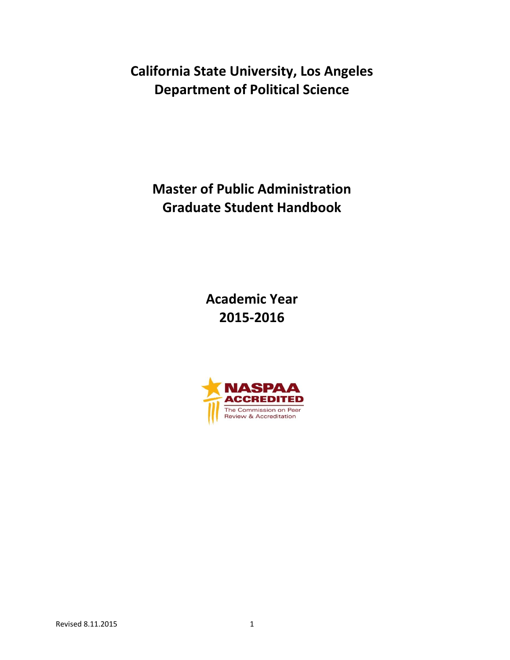**California State University, Los Angeles Department of Political Science**

**Master of Public Administration Graduate Student Handbook**

> **Academic Year 2015-2016**

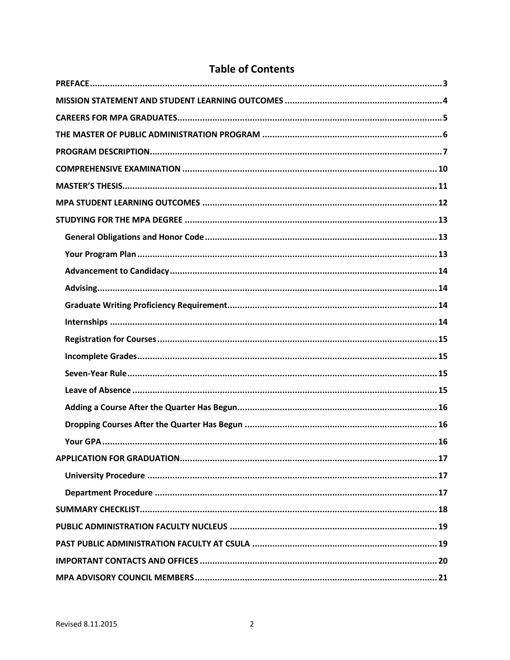# **Table of Contents**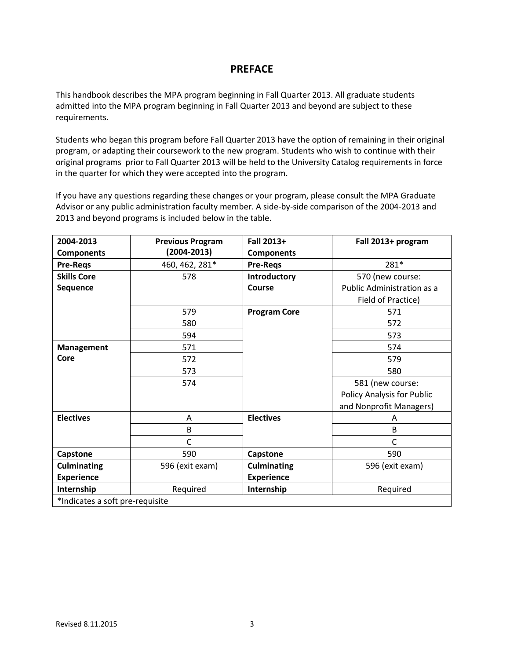# **PREFACE**

<span id="page-2-0"></span>This handbook describes the MPA program beginning in Fall Quarter 2013. All graduate students admitted into the MPA program beginning in Fall Quarter 2013 and beyond are subject to these requirements.

Students who began this program before Fall Quarter 2013 have the option of remaining in their original program, or adapting their coursework to the new program. Students who wish to continue with their original programs prior to Fall Quarter 2013 will be held to the University Catalog requirements in force in the quarter for which they were accepted into the program.

If you have any questions regarding these changes or your program, please consult the MPA Graduate Advisor or any public administration faculty member. A side-by-side comparison of the 2004-2013 and 2013 and beyond programs is included below in the table.

| 2004-2013                       | <b>Previous Program</b> | Fall 2013+          | Fall 2013+ program         |  |  |  |
|---------------------------------|-------------------------|---------------------|----------------------------|--|--|--|
| <b>Components</b>               | (2004-2013)             | <b>Components</b>   |                            |  |  |  |
| <b>Pre-Regs</b>                 | 460, 462, 281*          | <b>Pre-Regs</b>     | 281*                       |  |  |  |
| <b>Skills Core</b>              | 578                     | Introductory        | 570 (new course:           |  |  |  |
| Sequence                        |                         | Course              | Public Administration as a |  |  |  |
|                                 |                         |                     | Field of Practice)         |  |  |  |
|                                 | 579                     | <b>Program Core</b> | 571                        |  |  |  |
|                                 | 580                     |                     | 572                        |  |  |  |
|                                 | 594                     |                     | 573                        |  |  |  |
| <b>Management</b>               | 571                     |                     | 574                        |  |  |  |
| Core                            | 572                     |                     | 579                        |  |  |  |
|                                 | 573                     |                     | 580                        |  |  |  |
|                                 | 574                     |                     | 581 (new course:           |  |  |  |
|                                 |                         |                     | Policy Analysis for Public |  |  |  |
|                                 |                         |                     | and Nonprofit Managers)    |  |  |  |
| <b>Electives</b>                | A                       | <b>Electives</b>    | A                          |  |  |  |
|                                 | B                       |                     | B                          |  |  |  |
|                                 | C                       |                     | C                          |  |  |  |
| Capstone                        | 590                     | Capstone            | 590                        |  |  |  |
| <b>Culminating</b>              | 596 (exit exam)         | <b>Culminating</b>  | 596 (exit exam)            |  |  |  |
| <b>Experience</b>               |                         | <b>Experience</b>   |                            |  |  |  |
| Internship                      | Required                | Internship          | Required                   |  |  |  |
| *Indicates a soft pre-requisite |                         |                     |                            |  |  |  |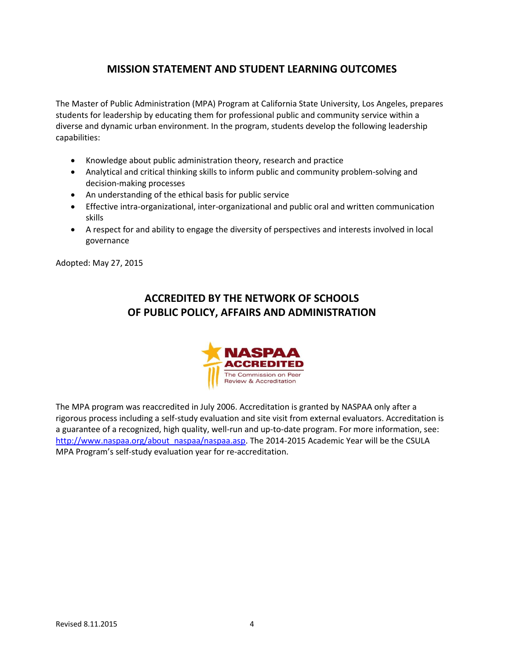# **MISSION STATEMENT AND STUDENT LEARNING OUTCOMES**

<span id="page-3-0"></span>The Master of Public Administration (MPA) Program at California State University, Los Angeles, prepares students for leadership by educating them for professional public and community service within a diverse and dynamic urban environment. In the program, students develop the following leadership capabilities:

- Knowledge about public administration theory, research and practice
- Analytical and critical thinking skills to inform public and community problem-solving and decision-making processes
- An understanding of the ethical basis for public service
- Effective intra-organizational, inter-organizational and public oral and written communication skills
- A respect for and ability to engage the diversity of perspectives and interests involved in local governance

Adopted: May 27, 2015

# **ACCREDITED BY THE NETWORK OF SCHOOLS OF PUBLIC POLICY, AFFAIRS AND ADMINISTRATION**



The MPA program was reaccredited in July 2006. Accreditation is granted by NASPAA only after a rigorous process including a self-study evaluation and site visit from external evaluators. Accreditation is a guarantee of a recognized, high quality, well-run and up-to-date program. For more information, see: [http://www.naspaa.org/about\\_naspaa/naspaa.asp.](http://www.naspaa.org/about_naspaa/naspaa.asp) The 2014-2015 Academic Year will be the CSULA MPA Program's self-study evaluation year for re-accreditation.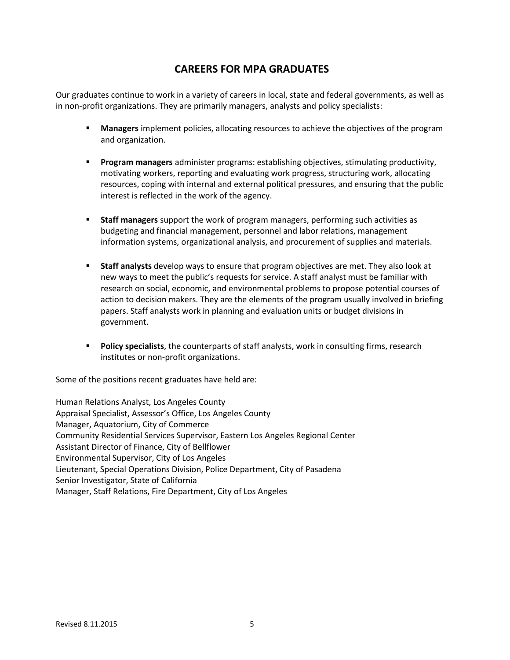# **CAREERS FOR MPA GRADUATES**

<span id="page-4-0"></span>Our graduates continue to work in a variety of careers in local, state and federal governments, as well as in non-profit organizations. They are primarily managers, analysts and policy specialists:

- **Managers** implement policies, allocating resources to achieve the objectives of the program and organization.
- **Program managers** administer programs: establishing objectives, stimulating productivity, motivating workers, reporting and evaluating work progress, structuring work, allocating resources, coping with internal and external political pressures, and ensuring that the public interest is reflected in the work of the agency.
- **Staff managers** support the work of program managers, performing such activities as budgeting and financial management, personnel and labor relations, management information systems, organizational analysis, and procurement of supplies and materials.
- **Staff analysts** develop ways to ensure that program objectives are met. They also look at new ways to meet the public's requests for service. A staff analyst must be familiar with research on social, economic, and environmental problems to propose potential courses of action to decision makers. They are the elements of the program usually involved in briefing papers. Staff analysts work in planning and evaluation units or budget divisions in government.
- **Policy specialists**, the counterparts of staff analysts, work in consulting firms, research institutes or non-profit organizations.

Some of the positions recent graduates have held are:

Human Relations Analyst, Los Angeles County Appraisal Specialist, Assessor's Office, Los Angeles County Manager, Aquatorium, City of Commerce Community Residential Services Supervisor, Eastern Los Angeles Regional Center Assistant Director of Finance, City of Bellflower Environmental Supervisor, City of Los Angeles Lieutenant, Special Operations Division, Police Department, City of Pasadena Senior Investigator, State of California Manager, Staff Relations, Fire Department, City of Los Angeles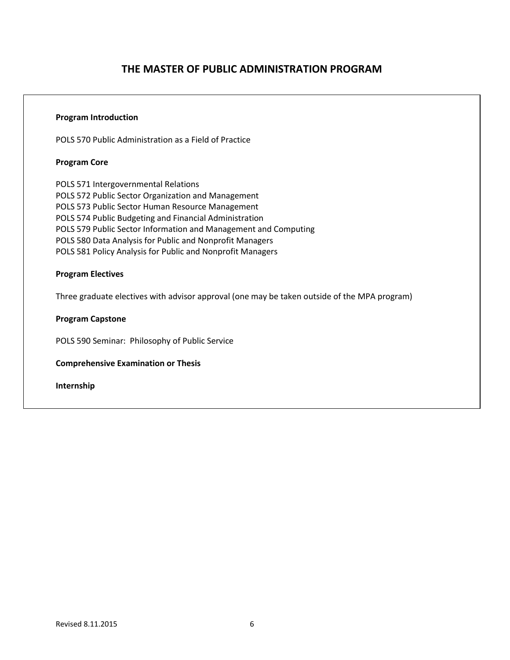## <span id="page-5-0"></span>**Program Introduction**

POLS 570 Public Administration as a Field of Practice

# **Program Core**

POLS 571 Intergovernmental Relations POLS 572 Public Sector Organization and Management POLS 573 Public Sector Human Resource Management POLS 574 Public Budgeting and Financial Administration POLS 579 Public Sector Information and Management and Computing POLS 580 Data Analysis for Public and Nonprofit Managers POLS 581 Policy Analysis for Public and Nonprofit Managers

# **Program Electives**

Three graduate electives with advisor approval (one may be taken outside of the MPA program)

# **Program Capstone**

POLS 590 Seminar: Philosophy of Public Service

### **Comprehensive Examination or Thesis**

**Internship**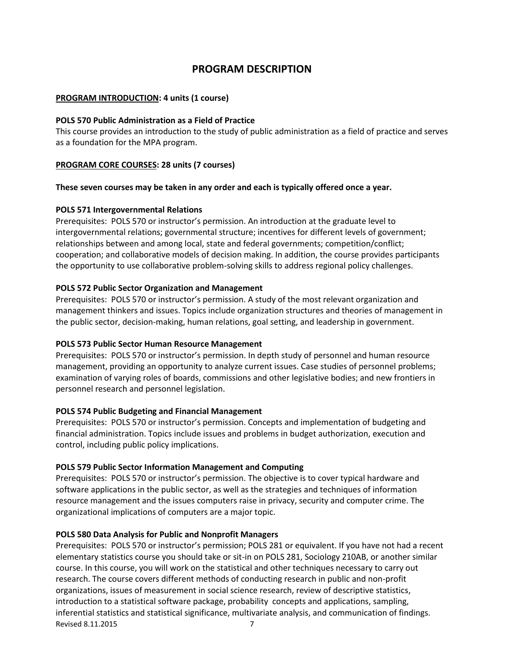# **PROGRAM DESCRIPTION**

### <span id="page-6-0"></span>**PROGRAM INTRODUCTION: 4 units (1 course)**

#### **POLS 570 Public Administration as a Field of Practice**

This course provides an introduction to the study of public administration as a field of practice and serves as a foundation for the MPA program.

#### **PROGRAM CORE COURSES: 28 units (7 courses)**

#### **These seven courses may be taken in any order and each is typically offered once a year.**

#### **POLS 571 Intergovernmental Relations**

Prerequisites: POLS 570 or instructor's permission. An introduction at the graduate level to intergovernmental relations; governmental structure; incentives for different levels of government; relationships between and among local, state and federal governments; competition/conflict; cooperation; and collaborative models of decision making. In addition, the course provides participants the opportunity to use collaborative problem-solving skills to address regional policy challenges.

#### **POLS 572 Public Sector Organization and Management**

Prerequisites: POLS 570 or instructor's permission. A study of the most relevant organization and management thinkers and issues. Topics include organization structures and theories of management in the public sector, decision-making, human relations, goal setting, and leadership in government.

### **POLS 573 Public Sector Human Resource Management**

Prerequisites: POLS 570 or instructor's permission. In depth study of personnel and human resource management, providing an opportunity to analyze current issues. Case studies of personnel problems; examination of varying roles of boards, commissions and other legislative bodies; and new frontiers in personnel research and personnel legislation.

#### **POLS 574 Public Budgeting and Financial Management**

Prerequisites: POLS 570 or instructor's permission. Concepts and implementation of budgeting and financial administration. Topics include issues and problems in budget authorization, execution and control, including public policy implications.

#### **POLS 579 Public Sector Information Management and Computing**

Prerequisites: POLS 570 or instructor's permission. The objective is to cover typical hardware and software applications in the public sector, as well as the strategies and techniques of information resource management and the issues computers raise in privacy, security and computer crime. The organizational implications of computers are a major topic.

#### **POLS 580 Data Analysis for Public and Nonprofit Managers**

Revised 8.11.2015 7 Prerequisites: POLS 570 or instructor's permission; POLS 281 or equivalent. If you have not had a recent elementary statistics course you should take or sit-in on POLS 281, Sociology 210AB, or another similar course. In this course, you will work on the statistical and other techniques necessary to carry out research. The course covers different methods of conducting research in public and non-profit organizations, issues of measurement in social science research, review of descriptive statistics, introduction to a statistical software package, probability concepts and applications, sampling, inferential statistics and statistical significance, multivariate analysis, and communication of findings.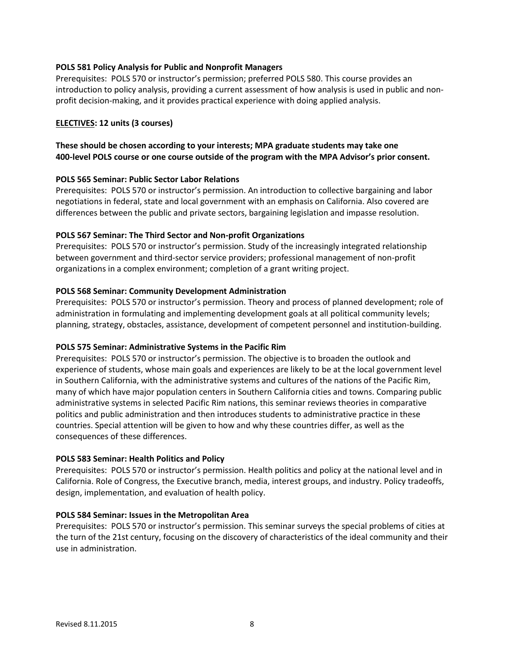### **POLS 581 Policy Analysis for Public and Nonprofit Managers**

Prerequisites: POLS 570 or instructor's permission; preferred POLS 580. This course provides an introduction to policy analysis, providing a current assessment of how analysis is used in public and nonprofit decision-making, and it provides practical experience with doing applied analysis.

# **ELECTIVES: 12 units (3 courses)**

# **These should be chosen according to your interests; MPA graduate students may take one 400-level POLS course or one course outside of the program with the MPA Advisor's prior consent.**

### **POLS 565 Seminar: Public Sector Labor Relations**

Prerequisites: POLS 570 or instructor's permission. An introduction to collective bargaining and labor negotiations in federal, state and local government with an emphasis on California. Also covered are differences between the public and private sectors, bargaining legislation and impasse resolution.

### **POLS 567 Seminar: The Third Sector and Non-profit Organizations**

Prerequisites: POLS 570 or instructor's permission. Study of the increasingly integrated relationship between government and third-sector service providers; professional management of non-profit organizations in a complex environment; completion of a grant writing project.

### **POLS 568 Seminar: Community Development Administration**

Prerequisites: POLS 570 or instructor's permission. Theory and process of planned development; role of administration in formulating and implementing development goals at all political community levels; planning, strategy, obstacles, assistance, development of competent personnel and institution-building.

### **POLS 575 Seminar: Administrative Systems in the Pacific Rim**

Prerequisites: POLS 570 or instructor's permission. The objective is to broaden the outlook and experience of students, whose main goals and experiences are likely to be at the local government level in Southern California, with the administrative systems and cultures of the nations of the Pacific Rim, many of which have major population centers in Southern California cities and towns. Comparing public administrative systems in selected Pacific Rim nations, this seminar reviews theories in comparative politics and public administration and then introduces students to administrative practice in these countries. Special attention will be given to how and why these countries differ, as well as the consequences of these differences.

### **POLS 583 Seminar: Health Politics and Policy**

Prerequisites: POLS 570 or instructor's permission. Health politics and policy at the national level and in California. Role of Congress, the Executive branch, media, interest groups, and industry. Policy tradeoffs, design, implementation, and evaluation of health policy.

### **POLS 584 Seminar: Issues in the Metropolitan Area**

Prerequisites: POLS 570 or instructor's permission. This seminar surveys the special problems of cities at the turn of the 21st century, focusing on the discovery of characteristics of the ideal community and their use in administration.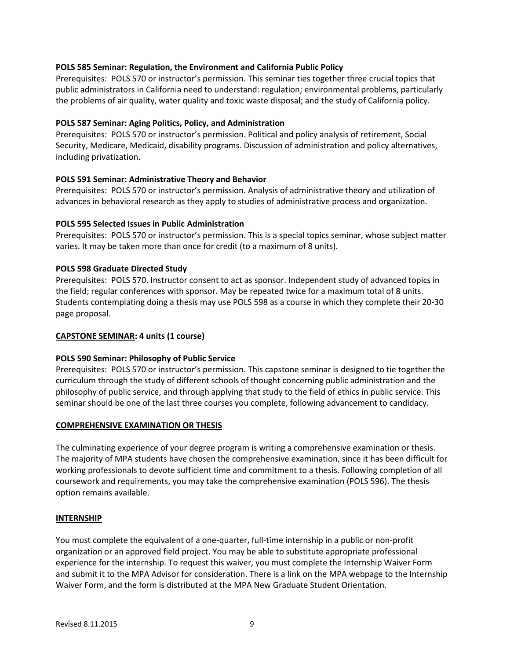### **POLS 585 Seminar: Regulation, the Environment and California Public Policy**

Prerequisites: POLS 570 or instructor's permission. This seminar ties together three crucial topics that public administrators in California need to understand: regulation; environmental problems, particularly the problems of air quality, water quality and toxic waste disposal; and the study of California policy.

### **POLS 587 Seminar: Aging Politics, Policy, and Administration**

Prerequisites: POLS 570 or instructor's permission. Political and policy analysis of retirement, Social Security, Medicare, Medicaid, disability programs. Discussion of administration and policy alternatives, including privatization.

### **POLS 591 Seminar: Administrative Theory and Behavior**

Prerequisites: POLS 570 or instructor's permission. Analysis of administrative theory and utilization of advances in behavioral research as they apply to studies of administrative process and organization.

# **POLS 595 Selected Issues in Public Administration**

Prerequisites: POLS 570 or instructor's permission. This is a special topics seminar, whose subject matter varies. It may be taken more than once for credit (to a maximum of 8 units).

# **POLS 598 Graduate Directed Study**

Prerequisites: POLS 570. Instructor consent to act as sponsor. Independent study of advanced topics in the field; regular conferences with sponsor. May be repeated twice for a maximum total of 8 units. Students contemplating doing a thesis may use POLS 598 as a course in which they complete their 20-30 page proposal.

### **CAPSTONE SEMINAR: 4 units (1 course)**

### **POLS 590 Seminar: Philosophy of Public Service**

Prerequisites: POLS 570 or instructor's permission. This capstone seminar is designed to tie together the curriculum through the study of different schools of thought concerning public administration and the philosophy of public service, and through applying that study to the field of ethics in public service. This seminar should be one of the last three courses you complete, following advancement to candidacy.

### **COMPREHENSIVE EXAMINATION OR THESIS**

The culminating experience of your degree program is writing a comprehensive examination or thesis. The majority of MPA students have chosen the comprehensive examination, since it has been difficult for working professionals to devote sufficient time and commitment to a thesis. Following completion of all coursework and requirements, you may take the comprehensive examination (POLS 596). The thesis option remains available.

### **INTERNSHIP**

You must complete the equivalent of a one-quarter, full-time internship in a public or non-profit organization or an approved field project. You may be able to substitute appropriate professional experience for the internship. To request this waiver, you must complete the Internship Waiver Form and submit it to the MPA Advisor for consideration. There is a link on the MPA webpage to the Internship Waiver Form, and the form is distributed at the MPA New Graduate Student Orientation.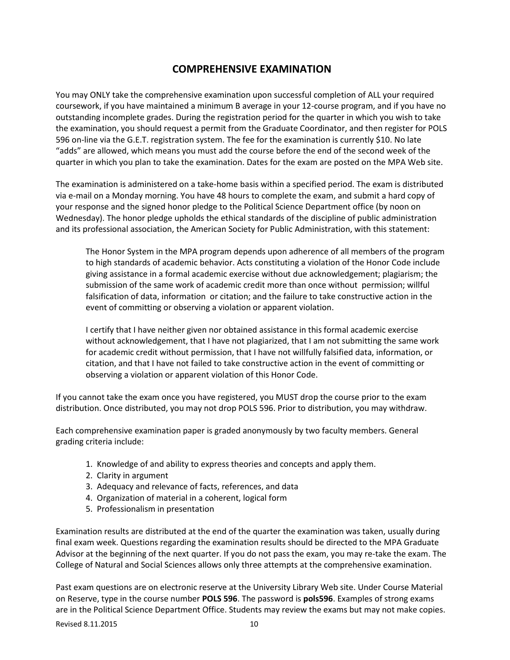# **COMPREHENSIVE EXAMINATION**

<span id="page-9-0"></span>You may ONLY take the comprehensive examination upon successful completion of ALL your required coursework, if you have maintained a minimum B average in your 12-course program, and if you have no outstanding incomplete grades. During the registration period for the quarter in which you wish to take the examination, you should request a permit from the Graduate Coordinator, and then register for POLS 596 on-line via the G.E.T. registration system. The fee for the examination is currently \$10. No late "adds" are allowed, which means you must add the course before the end of the second week of the quarter in which you plan to take the examination. Dates for the exam are posted on the MPA Web site.

The examination is administered on a take-home basis within a specified period. The exam is distributed via e-mail on a Monday morning. You have 48 hours to complete the exam, and submit a hard copy of your response and the signed honor pledge to the Political Science Department office (by noon on Wednesday). The honor pledge upholds the ethical standards of the discipline of public administration and its professional association, the American Society for Public Administration, with this statement:

The Honor System in the MPA program depends upon adherence of all members of the program to high standards of academic behavior. Acts constituting a violation of the Honor Code include giving assistance in a formal academic exercise without due acknowledgement; plagiarism; the submission of the same work of academic credit more than once without permission; willful falsification of data, information or citation; and the failure to take constructive action in the event of committing or observing a violation or apparent violation.

I certify that I have neither given nor obtained assistance in this formal academic exercise without acknowledgement, that I have not plagiarized, that I am not submitting the same work for academic credit without permission, that I have not willfully falsified data, information, or citation, and that I have not failed to take constructive action in the event of committing or observing a violation or apparent violation of this Honor Code.

If you cannot take the exam once you have registered, you MUST drop the course prior to the exam distribution. Once distributed, you may not drop POLS 596. Prior to distribution, you may withdraw.

Each comprehensive examination paper is graded anonymously by two faculty members. General grading criteria include:

- 1. Knowledge of and ability to express theories and concepts and apply them.
- 2. Clarity in argument
- 3. Adequacy and relevance of facts, references, and data
- 4. Organization of material in a coherent, logical form
- 5. Professionalism in presentation

Examination results are distributed at the end of the quarter the examination was taken, usually during final exam week. Questions regarding the examination results should be directed to the MPA Graduate Advisor at the beginning of the next quarter. If you do not pass the exam, you may re-take the exam. The College of Natural and Social Sciences allows only three attempts at the comprehensive examination.

Past exam questions are on electronic reserve at the University Library Web site. Under Course Material on Reserve, type in the course number **POLS 596**. The password is **pols596**. Examples of strong exams are in the Political Science Department Office. Students may review the exams but may not make copies.

Revised 8.11.2015 10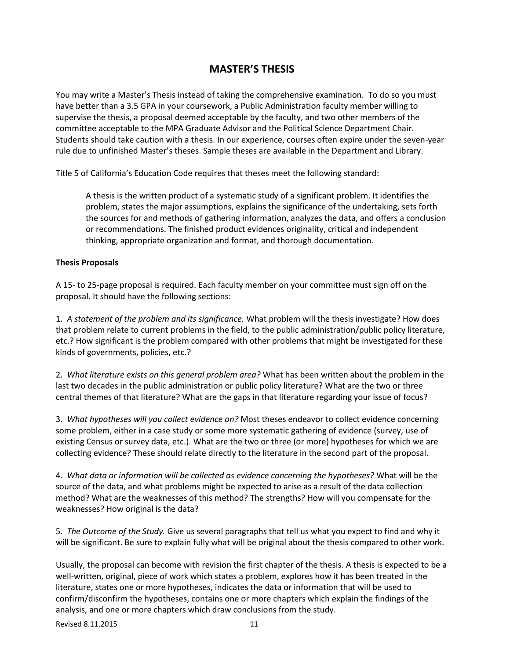# **MASTER'S THESIS**

<span id="page-10-0"></span>You may write a Master's Thesis instead of taking the comprehensive examination. To do so you must have better than a 3.5 GPA in your coursework, a Public Administration faculty member willing to supervise the thesis, a proposal deemed acceptable by the faculty, and two other members of the committee acceptable to the MPA Graduate Advisor and the Political Science Department Chair. Students should take caution with a thesis. In our experience, courses often expire under the seven-year rule due to unfinished Master's theses. Sample theses are available in the Department and Library.

Title 5 of California's Education Code requires that theses meet the following standard:

A thesis is the written product of a systematic study of a significant problem. It identifies the problem, states the major assumptions, explains the significance of the undertaking, sets forth the sources for and methods of gathering information, analyzes the data, and offers a conclusion or recommendations. The finished product evidences originality, critical and independent thinking, appropriate organization and format, and thorough documentation.

### **Thesis Proposals**

A 15- to 25-page proposal is required. Each faculty member on your committee must sign off on the proposal. It should have the following sections:

1. *A statement of the problem and its significance.* What problem will the thesis investigate? How does that problem relate to current problems in the field, to the public administration/public policy literature, etc.? How significant is the problem compared with other problems that might be investigated for these kinds of governments, policies, etc.?

2. *What literature exists on this general problem area?* What has been written about the problem in the last two decades in the public administration or public policy literature? What are the two or three central themes of that literature? What are the gaps in that literature regarding your issue of focus?

3. *What hypotheses will you collect evidence on?* Most theses endeavor to collect evidence concerning some problem, either in a case study or some more systematic gathering of evidence (survey, use of existing Census or survey data, etc.). What are the two or three (or more) hypotheses for which we are collecting evidence? These should relate directly to the literature in the second part of the proposal.

4. *What data or information will be collected as evidence concerning the hypotheses?* What will be the source of the data, and what problems might be expected to arise as a result of the data collection method? What are the weaknesses of this method? The strengths? How will you compensate for the weaknesses? How original is the data?

5. *The Outcome of the Study.* Give us several paragraphs that tell us what you expect to find and why it will be significant. Be sure to explain fully what will be original about the thesis compared to other work.

Usually, the proposal can become with revision the first chapter of the thesis. A thesis is expected to be a well-written, original, piece of work which states a problem, explores how it has been treated in the literature, states one or more hypotheses, indicates the data or information that will be used to confirm/disconfirm the hypotheses, contains one or more chapters which explain the findings of the analysis, and one or more chapters which draw conclusions from the study.

Revised 8.11.2015 11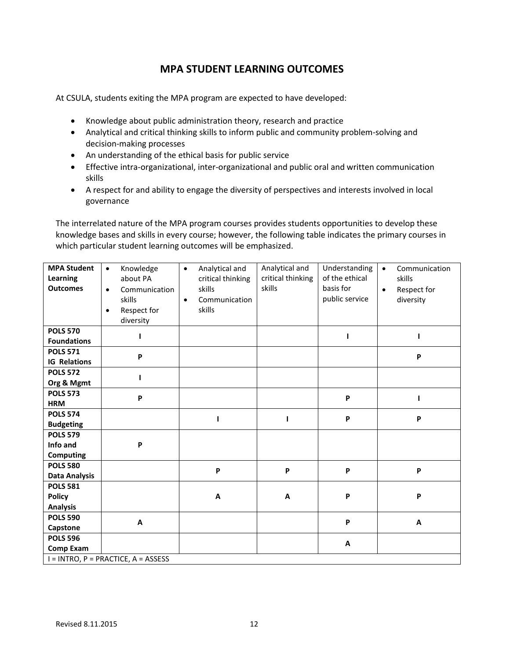# **MPA STUDENT LEARNING OUTCOMES**

<span id="page-11-0"></span>At CSULA, students exiting the MPA program are expected to have developed:

- Knowledge about public administration theory, research and practice
- Analytical and critical thinking skills to inform public and community problem-solving and decision-making processes
- An understanding of the ethical basis for public service
- Effective intra-organizational, inter-organizational and public oral and written communication skills
- A respect for and ability to engage the diversity of perspectives and interests involved in local governance

The interrelated nature of the MPA program courses provides students opportunities to develop these knowledge bases and skills in every course; however, the following table indicates the primary courses in which particular student learning outcomes will be emphasized.

<span id="page-11-1"></span>

| <b>MPA Student</b><br>Learning<br><b>Outcomes</b>   | Knowledge<br>$\bullet$<br>about PA<br>Communication<br>$\bullet$<br>skills<br>Respect for<br>$\bullet$<br>diversity | Analytical and<br>$\bullet$<br>critical thinking<br>skills<br>Communication<br>$\bullet$<br>skills | Analytical and<br>critical thinking<br>skills | Understanding<br>of the ethical<br>basis for<br>public service | Communication<br>$\bullet$<br>skills<br>Respect for<br>$\bullet$<br>diversity |  |  |
|-----------------------------------------------------|---------------------------------------------------------------------------------------------------------------------|----------------------------------------------------------------------------------------------------|-----------------------------------------------|----------------------------------------------------------------|-------------------------------------------------------------------------------|--|--|
| <b>POLS 570</b><br><b>Foundations</b>               |                                                                                                                     |                                                                                                    |                                               | ı                                                              | ı                                                                             |  |  |
| <b>POLS 571</b><br><b>IG Relations</b>              | P                                                                                                                   |                                                                                                    |                                               |                                                                | P                                                                             |  |  |
| <b>POLS 572</b><br>Org & Mgmt                       |                                                                                                                     |                                                                                                    |                                               |                                                                |                                                                               |  |  |
| <b>POLS 573</b><br><b>HRM</b>                       | P                                                                                                                   |                                                                                                    |                                               | P                                                              |                                                                               |  |  |
| <b>POLS 574</b><br><b>Budgeting</b>                 |                                                                                                                     |                                                                                                    | 1                                             | P                                                              | P                                                                             |  |  |
| <b>POLS 579</b><br>Info and<br><b>Computing</b>     | P                                                                                                                   |                                                                                                    |                                               |                                                                |                                                                               |  |  |
| <b>POLS 580</b><br><b>Data Analysis</b>             |                                                                                                                     | P                                                                                                  | P                                             | P                                                              | P                                                                             |  |  |
| <b>POLS 581</b><br><b>Policy</b><br><b>Analysis</b> |                                                                                                                     | A                                                                                                  | A                                             | P                                                              | P                                                                             |  |  |
| <b>POLS 590</b><br>Capstone                         | A                                                                                                                   |                                                                                                    |                                               | P                                                              | A                                                                             |  |  |
| <b>POLS 596</b><br><b>Comp Exam</b>                 |                                                                                                                     |                                                                                                    |                                               | A                                                              |                                                                               |  |  |
| $I = INTRO$ , $P = PRACTICE$ , $A = ASSESS$         |                                                                                                                     |                                                                                                    |                                               |                                                                |                                                                               |  |  |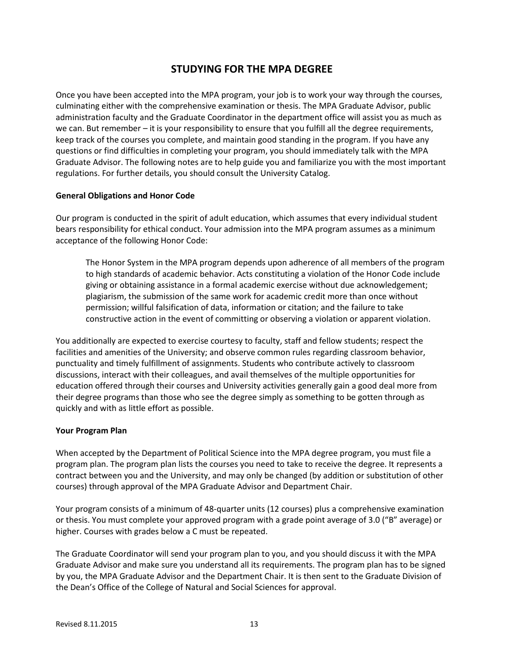# **STUDYING FOR THE MPA DEGREE**

Once you have been accepted into the MPA program, your job is to work your way through the courses, culminating either with the comprehensive examination or thesis. The MPA Graduate Advisor, public administration faculty and the Graduate Coordinator in the department office will assist you as much as we can. But remember – it is your responsibility to ensure that you fulfill all the degree requirements, keep track of the courses you complete, and maintain good standing in the program. If you have any questions or find difficulties in completing your program, you should immediately talk with the MPA Graduate Advisor. The following notes are to help guide you and familiarize you with the most important regulations. For further details, you should consult the University Catalog.

#### <span id="page-12-0"></span>**General Obligations and Honor Code**

Our program is conducted in the spirit of adult education, which assumes that every individual student bears responsibility for ethical conduct. Your admission into the MPA program assumes as a minimum acceptance of the following Honor Code:

The Honor System in the MPA program depends upon adherence of all members of the program to high standards of academic behavior. Acts constituting a violation of the Honor Code include giving or obtaining assistance in a formal academic exercise without due acknowledgement; plagiarism, the submission of the same work for academic credit more than once without permission; willful falsification of data, information or citation; and the failure to take constructive action in the event of committing or observing a violation or apparent violation.

You additionally are expected to exercise courtesy to faculty, staff and fellow students; respect the facilities and amenities of the University; and observe common rules regarding classroom behavior, punctuality and timely fulfillment of assignments. Students who contribute actively to classroom discussions, interact with their colleagues, and avail themselves of the multiple opportunities for education offered through their courses and University activities generally gain a good deal more from their degree programs than those who see the degree simply as something to be gotten through as quickly and with as little effort as possible.

### <span id="page-12-1"></span>**Your Program Plan**

When accepted by the Department of Political Science into the MPA degree program, you must file a program plan. The program plan lists the courses you need to take to receive the degree. It represents a contract between you and the University, and may only be changed (by addition or substitution of other courses) through approval of the MPA Graduate Advisor and Department Chair.

Your program consists of a minimum of 48-quarter units (12 courses) plus a comprehensive examination or thesis. You must complete your approved program with a grade point average of 3.0 ("B" average) or higher. Courses with grades below a C must be repeated.

The Graduate Coordinator will send your program plan to you, and you should discuss it with the MPA Graduate Advisor and make sure you understand all its requirements. The program plan has to be signed by you, the MPA Graduate Advisor and the Department Chair. It is then sent to the Graduate Division of the Dean's Office of the College of Natural and Social Sciences for approval.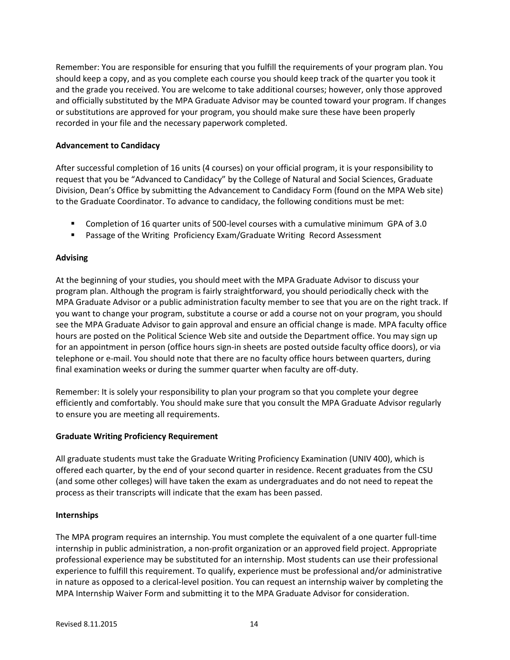Remember: You are responsible for ensuring that you fulfill the requirements of your program plan. You should keep a copy, and as you complete each course you should keep track of the quarter you took it and the grade you received. You are welcome to take additional courses; however, only those approved and officially substituted by the MPA Graduate Advisor may be counted toward your program. If changes or substitutions are approved for your program, you should make sure these have been properly recorded in your file and the necessary paperwork completed.

#### <span id="page-13-0"></span>**Advancement to Candidacy**

After successful completion of 16 units (4 courses) on your official program, it is your responsibility to request that you be "Advanced to Candidacy" by the College of Natural and Social Sciences, Graduate Division, Dean's Office by submitting the Advancement to Candidacy Form (found on the MPA Web site) to the Graduate Coordinator. To advance to candidacy, the following conditions must be met:

- Completion of 16 quarter units of 500-level courses with a cumulative minimum GPA of 3.0
- Passage of the Writing Proficiency Exam/Graduate Writing Record Assessment

#### <span id="page-13-1"></span>**Advising**

At the beginning of your studies, you should meet with the MPA Graduate Advisor to discuss your program plan. Although the program is fairly straightforward, you should periodically check with the MPA Graduate Advisor or a public administration faculty member to see that you are on the right track. If you want to change your program, substitute a course or add a course not on your program, you should see the MPA Graduate Advisor to gain approval and ensure an official change is made. MPA faculty office hours are posted on the Political Science Web site and outside the Department office. You may sign up for an appointment in person (office hours sign-in sheets are posted outside faculty office doors), or via telephone or e-mail. You should note that there are no faculty office hours between quarters, during final examination weeks or during the summer quarter when faculty are off-duty.

Remember: It is solely your responsibility to plan your program so that you complete your degree efficiently and comfortably. You should make sure that you consult the MPA Graduate Advisor regularly to ensure you are meeting all requirements.

#### <span id="page-13-2"></span>**Graduate Writing Proficiency Requirement**

All graduate students must take the Graduate Writing Proficiency Examination (UNIV 400), which is offered each quarter, by the end of your second quarter in residence. Recent graduates from the CSU (and some other colleges) will have taken the exam as undergraduates and do not need to repeat the process as their transcripts will indicate that the exam has been passed.

#### <span id="page-13-3"></span>**Internships**

The MPA program requires an internship. You must complete the equivalent of a one quarter full-time internship in public administration, a non-profit organization or an approved field project. Appropriate professional experience may be substituted for an internship. Most students can use their professional experience to fulfill this requirement. To qualify, experience must be professional and/or administrative in nature as opposed to a clerical-level position. You can request an internship waiver by completing the MPA Internship Waiver Form and submitting it to the MPA Graduate Advisor for consideration.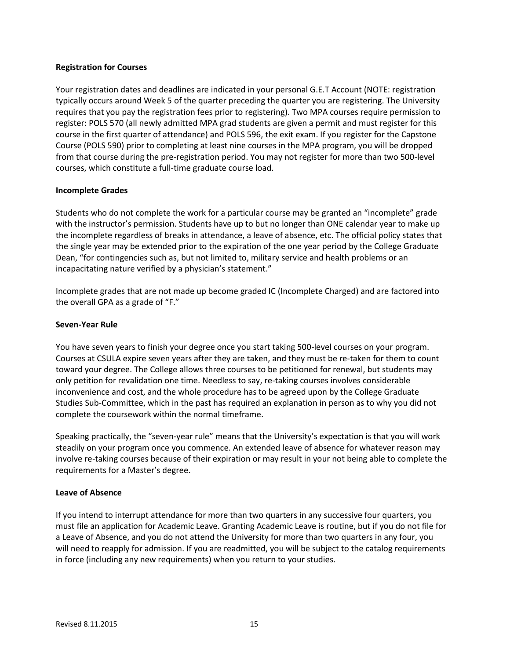### <span id="page-14-0"></span>**Registration for Courses**

Your registration dates and deadlines are indicated in your personal G.E.T Account (NOTE: registration typically occurs around Week 5 of the quarter preceding the quarter you are registering. The University requires that you pay the registration fees prior to registering). Two MPA courses require permission to register: POLS 570 (all newly admitted MPA grad students are given a permit and must register for this course in the first quarter of attendance) and POLS 596, the exit exam. If you register for the Capstone Course (POLS 590) prior to completing at least nine courses in the MPA program, you will be dropped from that course during the pre-registration period. You may not register for more than two 500-level courses, which constitute a full-time graduate course load.

#### <span id="page-14-1"></span>**Incomplete Grades**

Students who do not complete the work for a particular course may be granted an "incomplete" grade with the instructor's permission. Students have up to but no longer than ONE calendar year to make up the incomplete regardless of breaks in attendance, a leave of absence, etc. The official policy states that the single year may be extended prior to the expiration of the one year period by the College Graduate Dean, "for contingencies such as, but not limited to, military service and health problems or an incapacitating nature verified by a physician's statement."

Incomplete grades that are not made up become graded IC (Incomplete Charged) and are factored into the overall GPA as a grade of "F."

#### <span id="page-14-2"></span>**Seven-Year Rule**

You have seven years to finish your degree once you start taking 500-level courses on your program. Courses at CSULA expire seven years after they are taken, and they must be re-taken for them to count toward your degree. The College allows three courses to be petitioned for renewal, but students may only petition for revalidation one time. Needless to say, re-taking courses involves considerable inconvenience and cost, and the whole procedure has to be agreed upon by the College Graduate Studies Sub-Committee, which in the past has required an explanation in person as to why you did not complete the coursework within the normal timeframe.

Speaking practically, the "seven-year rule" means that the University's expectation is that you will work steadily on your program once you commence. An extended leave of absence for whatever reason may involve re-taking courses because of their expiration or may result in your not being able to complete the requirements for a Master's degree.

#### <span id="page-14-3"></span>**Leave of Absence**

If you intend to interrupt attendance for more than two quarters in any successive four quarters, you must file an application for Academic Leave. Granting Academic Leave is routine, but if you do not file for a Leave of Absence, and you do not attend the University for more than two quarters in any four, you will need to reapply for admission. If you are readmitted, you will be subject to the catalog requirements in force (including any new requirements) when you return to your studies.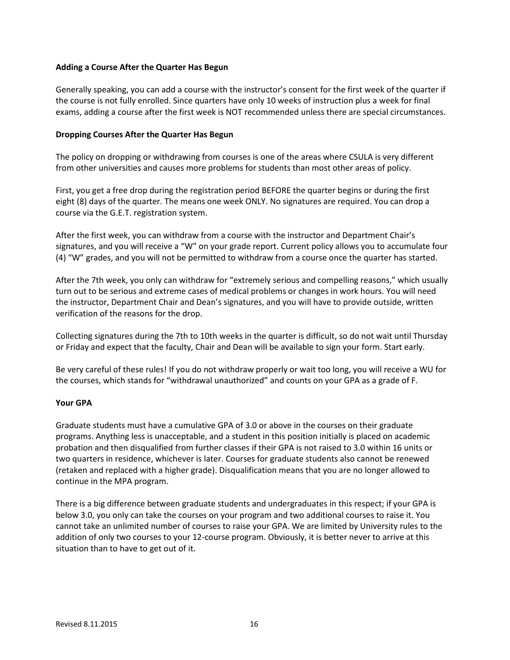### <span id="page-15-0"></span>**Adding a Course After the Quarter Has Begun**

Generally speaking, you can add a course with the instructor's consent for the first week of the quarter if the course is not fully enrolled. Since quarters have only 10 weeks of instruction plus a week for final exams, adding a course after the first week is NOT recommended unless there are special circumstances.

#### <span id="page-15-1"></span>**Dropping Courses After the Quarter Has Begun**

The policy on dropping or withdrawing from courses is one of the areas where CSULA is very different from other universities and causes more problems for students than most other areas of policy.

First, you get a free drop during the registration period BEFORE the quarter begins or during the first eight (8) days of the quarter. The means one week ONLY. No signatures are required. You can drop a course via the G.E.T. registration system.

After the first week, you can withdraw from a course with the instructor and Department Chair's signatures, and you will receive a "W" on your grade report. Current policy allows you to accumulate four (4) "W" grades, and you will not be permitted to withdraw from a course once the quarter has started.

After the 7th week, you only can withdraw for "extremely serious and compelling reasons," which usually turn out to be serious and extreme cases of medical problems or changes in work hours. You will need the instructor, Department Chair and Dean's signatures, and you will have to provide outside, written verification of the reasons for the drop.

Collecting signatures during the 7th to 10th weeks in the quarter is difficult, so do not wait until Thursday or Friday and expect that the faculty, Chair and Dean will be available to sign your form. Start early.

Be very careful of these rules! If you do not withdraw properly or wait too long, you will receive a WU for the courses, which stands for "withdrawal unauthorized" and counts on your GPA as a grade of F.

#### <span id="page-15-2"></span>**Your GPA**

Graduate students must have a cumulative GPA of 3.0 or above in the courses on their graduate programs. Anything less is unacceptable, and a student in this position initially is placed on academic probation and then disqualified from further classes if their GPA is not raised to 3.0 within 16 units or two quarters in residence, whichever is later. Courses for graduate students also cannot be renewed (retaken and replaced with a higher grade). Disqualification means that you are no longer allowed to continue in the MPA program.

There is a big difference between graduate students and undergraduates in this respect; if your GPA is below 3.0, you only can take the courses on your program and two additional courses to raise it. You cannot take an unlimited number of courses to raise your GPA. We are limited by University rules to the addition of only two courses to your 12-course program. Obviously, it is better never to arrive at this situation than to have to get out of it.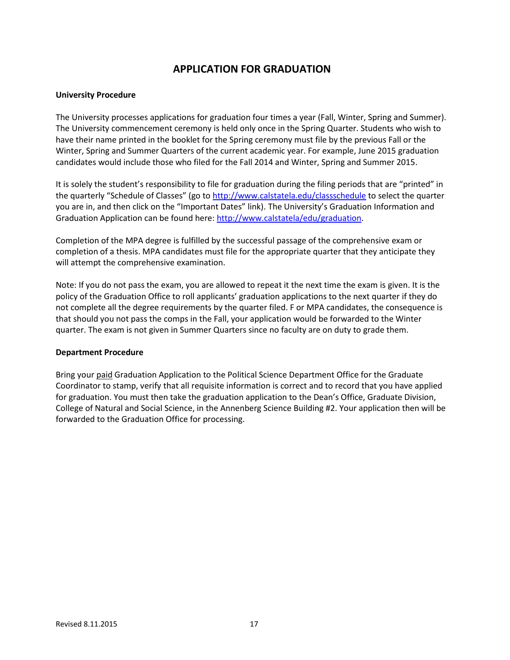# **APPLICATION FOR GRADUATION**

#### <span id="page-16-1"></span><span id="page-16-0"></span>**University Procedure**

The University processes applications for graduation four times a year (Fall, Winter, Spring and Summer). The University commencement ceremony is held only once in the Spring Quarter. Students who wish to have their name printed in the booklet for the Spring ceremony must file by the previous Fall or the Winter, Spring and Summer Quarters of the current academic year. For example, June 2015 graduation candidates would include those who filed for the Fall 2014 and Winter, Spring and Summer 2015.

It is solely the student's responsibility to file for graduation during the filing periods that are "printed" in the quarterly "Schedule of Classes" (go to <http://www.calstatela.edu/classschedule> to select the quarter you are in, and then click on the "Important Dates" link). The University's Graduation Information and Graduation Application can be found here: [http://www.calstatela/edu/graduation.](http://www.calstatela/edu/graduation)

Completion of the MPA degree is fulfilled by the successful passage of the comprehensive exam or completion of a thesis. MPA candidates must file for the appropriate quarter that they anticipate they will attempt the comprehensive examination.

Note: If you do not pass the exam, you are allowed to repeat it the next time the exam is given. It is the policy of the Graduation Office to roll applicants' graduation applications to the next quarter if they do not complete all the degree requirements by the quarter filed. F or MPA candidates, the consequence is that should you not pass the comps in the Fall, your application would be forwarded to the Winter quarter. The exam is not given in Summer Quarters since no faculty are on duty to grade them.

#### <span id="page-16-2"></span>**Department Procedure**

Bring your paid Graduation Application to the Political Science Department Office for the Graduate Coordinator to stamp, verify that all requisite information is correct and to record that you have applied for graduation. You must then take the graduation application to the Dean's Office, Graduate Division, College of Natural and Social Science, in the Annenberg Science Building #2. Your application then will be forwarded to the Graduation Office for processing.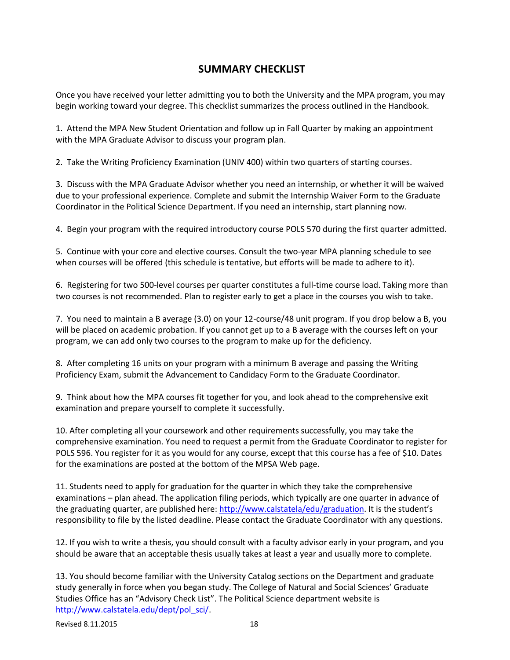# **SUMMARY CHECKLIST**

<span id="page-17-0"></span>Once you have received your letter admitting you to both the University and the MPA program, you may begin working toward your degree. This checklist summarizes the process outlined in the Handbook.

1. Attend the MPA New Student Orientation and follow up in Fall Quarter by making an appointment with the MPA Graduate Advisor to discuss your program plan.

2. Take the Writing Proficiency Examination (UNIV 400) within two quarters of starting courses.

3. Discuss with the MPA Graduate Advisor whether you need an internship, or whether it will be waived due to your professional experience. Complete and submit the Internship Waiver Form to the Graduate Coordinator in the Political Science Department. If you need an internship, start planning now.

4. Begin your program with the required introductory course POLS 570 during the first quarter admitted.

5. Continue with your core and elective courses. Consult the two-year MPA planning schedule to see when courses will be offered (this schedule is tentative, but efforts will be made to adhere to it).

6. Registering for two 500-level courses per quarter constitutes a full-time course load. Taking more than two courses is not recommended. Plan to register early to get a place in the courses you wish to take.

7. You need to maintain a B average (3.0) on your 12-course/48 unit program. If you drop below a B, you will be placed on academic probation. If you cannot get up to a B average with the courses left on your program, we can add only two courses to the program to make up for the deficiency.

8. After completing 16 units on your program with a minimum B average and passing the Writing Proficiency Exam, submit the Advancement to Candidacy Form to the Graduate Coordinator.

9. Think about how the MPA courses fit together for you, and look ahead to the comprehensive exit examination and prepare yourself to complete it successfully.

10. After completing all your coursework and other requirements successfully, you may take the comprehensive examination. You need to request a permit from the Graduate Coordinator to register for POLS 596. You register for it as you would for any course, except that this course has a fee of \$10. Dates for the examinations are posted at the bottom of the MPSA Web page.

11. Students need to apply for graduation for the quarter in which they take the comprehensive examinations – plan ahead. The application filing periods, which typically are one quarter in advance of the graduating quarter, are published here: [http://www.calstatela/edu/graduation.](http://www.calstatela/edu/graduation) It is the student's responsibility to file by the listed deadline. Please contact the Graduate Coordinator with any questions.

12. If you wish to write a thesis, you should consult with a faculty advisor early in your program, and you should be aware that an acceptable thesis usually takes at least a year and usually more to complete.

13. You should become familiar with the University Catalog sections on the Department and graduate study generally in force when you began study. The College of Natural and Social Sciences' Graduate Studies Office has an "Advisory Check List". The Political Science department website is [http://www.calstatela.edu/dept/pol\\_sci/.](http://www.calstatela.edu/dept/pol_sci/)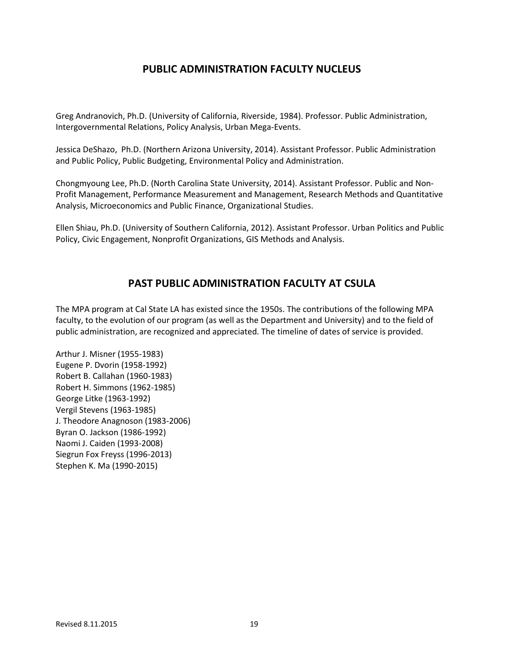# **PUBLIC ADMINISTRATION FACULTY NUCLEUS**

<span id="page-18-0"></span>Greg Andranovich, Ph.D. (University of California, Riverside, 1984). Professor. Public Administration, Intergovernmental Relations, Policy Analysis, Urban Mega-Events.

Jessica DeShazo, Ph.D. (Northern Arizona University, 2014). Assistant Professor. Public Administration and Public Policy, Public Budgeting, Environmental Policy and Administration.

Chongmyoung Lee, Ph.D. (North Carolina State University, 2014). Assistant Professor. Public and Non-Profit Management, Performance Measurement and Management, Research Methods and Quantitative Analysis, Microeconomics and Public Finance, Organizational Studies.

<span id="page-18-1"></span>Ellen Shiau, Ph.D. (University of Southern California, 2012). Assistant Professor. Urban Politics and Public Policy, Civic Engagement, Nonprofit Organizations, GIS Methods and Analysis.

# **PAST PUBLIC ADMINISTRATION FACULTY AT CSULA**

The MPA program at Cal State LA has existed since the 1950s. The contributions of the following MPA faculty, to the evolution of our program (as well as the Department and University) and to the field of public administration, are recognized and appreciated. The timeline of dates of service is provided.

Arthur J. Misner (1955-1983) Eugene P. Dvorin (1958-1992) Robert B. Callahan (1960-1983) Robert H. Simmons (1962-1985) George Litke (1963-1992) Vergil Stevens (1963-1985) J. Theodore Anagnoson (1983-2006) Byran O. Jackson (1986-1992) Naomi J. Caiden (1993-2008) Siegrun Fox Freyss (1996-2013) Stephen K. Ma (1990-2015)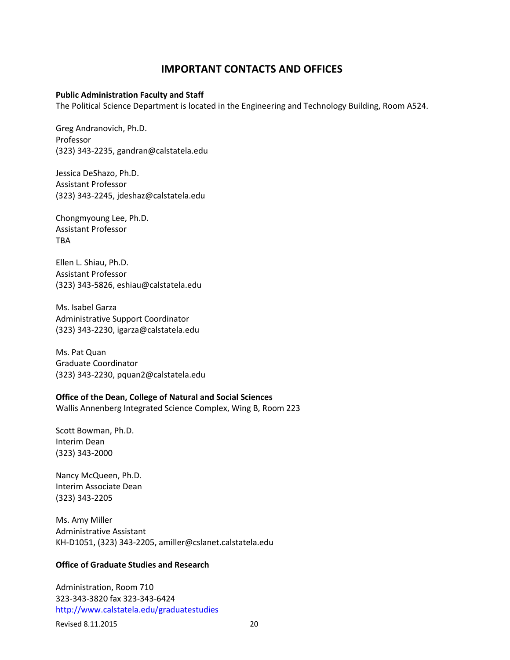# **IMPORTANT CONTACTS AND OFFICES**

#### <span id="page-19-0"></span>**Public Administration Faculty and Staff**

The Political Science Department is located in the Engineering and Technology Building, Room A524.

Greg Andranovich, Ph.D. Professor (323) 343-2235, gandran@calstatela.edu

Jessica DeShazo, Ph.D. Assistant Professor (323) 343-2245, jdeshaz@calstatela.edu

Chongmyoung Lee, Ph.D. Assistant Professor **TRA** 

Ellen L. Shiau, Ph.D. Assistant Professor (323) 343-5826, eshiau@calstatela.edu

Ms. Isabel Garza Administrative Support Coordinator (323) 343-2230, igarza@calstatela.edu

Ms. Pat Quan Graduate Coordinator (323) 343-2230, pquan2@calstatela.edu

### **Office of the Dean, College of Natural and Social Sciences**

Wallis Annenberg Integrated Science Complex, Wing B, Room 223

Scott Bowman, Ph.D. Interim Dean (323) 343-2000

Nancy McQueen, Ph.D. Interim Associate Dean (323) 343-2205

Ms. Amy Miller Administrative Assistant KH-D1051, (323) 343-2205, amiller@cslanet.calstatela.edu

### **Office of Graduate Studies and Research**

Administration, Room 710 323-343-3820 fax 323-343-6424 <http://www.calstatela.edu/graduatestudies>